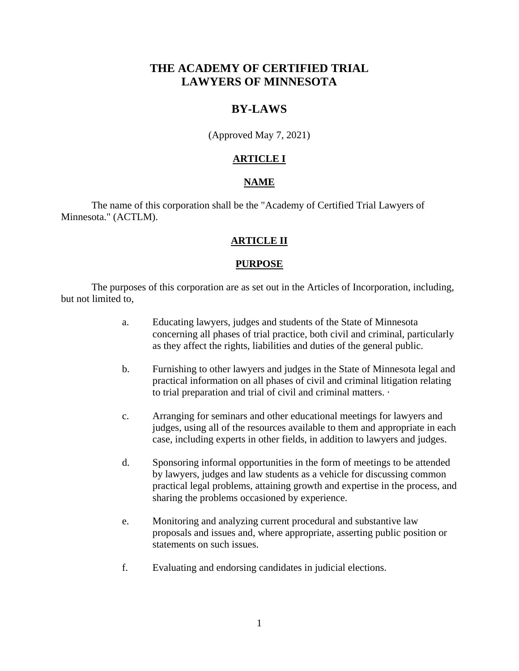# **THE ACADEMY OF CERTIFIED TRIAL LAWYERS OF MINNESOTA**

# **BY-LAWS**

(Approved May 7, 2021)

# **ARTICLE I**

### **NAME**

The name of this corporation shall be the "Academy of Certified Trial Lawyers of Minnesota." (ACTLM).

## **ARTICLE II**

### **PURPOSE**

The purposes of this corporation are as set out in the Articles of Incorporation, including, but not limited to,

- a. Educating lawyers, judges and students of the State of Minnesota concerning all phases of trial practice, both civil and criminal, particularly as they affect the rights, liabilities and duties of the general public.
- b. Furnishing to other lawyers and judges in the State of Minnesota legal and practical information on all phases of civil and criminal litigation relating to trial preparation and trial of civil and criminal matters. ·
- c. Arranging for seminars and other educational meetings for lawyers and judges, using all of the resources available to them and appropriate in each case, including experts in other fields, in addition to lawyers and judges.
- d. Sponsoring informal opportunities in the form of meetings to be attended by lawyers, judges and law students as a vehicle for discussing common practical legal problems, attaining growth and expertise in the process, and sharing the problems occasioned by experience.
- e. Monitoring and analyzing current procedural and substantive law proposals and issues and, where appropriate, asserting public position or statements on such issues.
- f. Evaluating and endorsing candidates in judicial elections.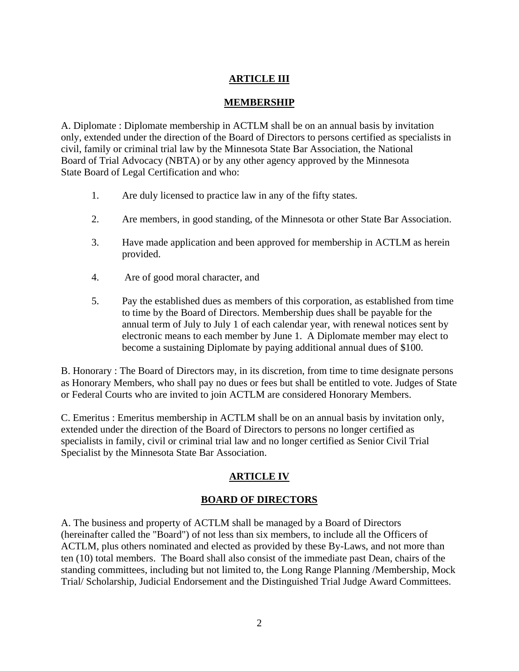# **ARTICLE III**

# **MEMBERSHIP**

A. Diplomate : Diplomate membership in ACTLM shall be on an annual basis by invitation only, extended under the direction of the Board of Directors to persons certified as specialists in civil, family or criminal trial law by the Minnesota State Bar Association, the National Board of Trial Advocacy (NBTA) or by any other agency approved by the Minnesota State Board of Legal Certification and who:

- 1. Are duly licensed to practice law in any of the fifty states.
- 2. Are members, in good standing, of the Minnesota or other State Bar Association.
- 3. Have made application and been approved for membership in ACTLM as herein provided.
- 4. Are of good moral character, and
- 5. Pay the established dues as members of this corporation, as established from time to time by the Board of Directors. Membership dues shall be payable for the annual term of July to July 1 of each calendar year, with renewal notices sent by electronic means to each member by June 1. A Diplomate member may elect to become a sustaining Diplomate by paying additional annual dues of \$100.

B. Honorary : The Board of Directors may, in its discretion, from time to time designate persons as Honorary Members, who shall pay no dues or fees but shall be entitled to vote. Judges of State or Federal Courts who are invited to join ACTLM are considered Honorary Members.

C. Emeritus : Emeritus membership in ACTLM shall be on an annual basis by invitation only, extended under the direction of the Board of Directors to persons no longer certified as specialists in family, civil or criminal trial law and no longer certified as Senior Civil Trial Specialist by the Minnesota State Bar Association.

# **ARTICLE IV**

## **BOARD OF DIRECTORS**

A. The business and property of ACTLM shall be managed by a Board of Directors (hereinafter called the "Board") of not less than six members, to include all the Officers of ACTLM, plus others nominated and elected as provided by these By-Laws, and not more than ten (10) total members. The Board shall also consist of the immediate past Dean, chairs of the standing committees, including but not limited to, the Long Range Planning /Membership, Mock Trial/ Scholarship, Judicial Endorsement and the Distinguished Trial Judge Award Committees.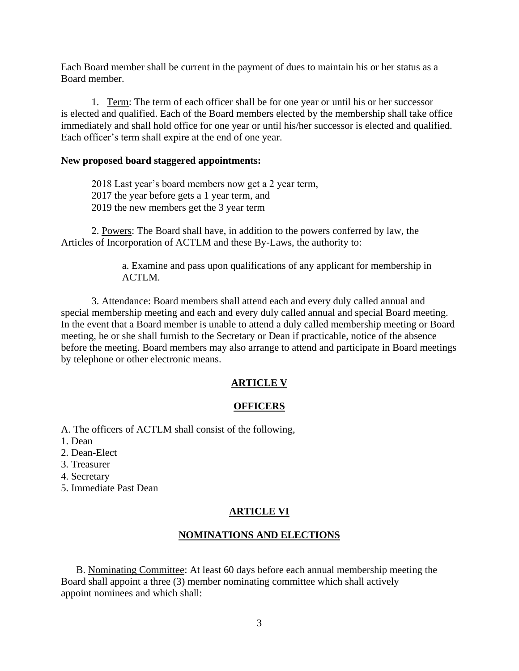Each Board member shall be current in the payment of dues to maintain his or her status as a Board member.

1. Term: The term of each officer shall be for one year or until his or her successor is elected and qualified. Each of the Board members elected by the membership shall take office immediately and shall hold office for one year or until his/her successor is elected and qualified. Each officer's term shall expire at the end of one year.

### **New proposed board staggered appointments:**

2018 Last year's board members now get a 2 year term, 2017 the year before gets a 1 year term, and 2019 the new members get the 3 year term

2. Powers: The Board shall have, in addition to the powers conferred by law, the Articles of Incorporation of ACTLM and these By-Laws, the authority to:

> a. Examine and pass upon qualifications of any applicant for membership in ACTLM.

3. Attendance: Board members shall attend each and every duly called annual and special membership meeting and each and every duly called annual and special Board meeting. In the event that a Board member is unable to attend a duly called membership meeting or Board meeting, he or she shall furnish to the Secretary or Dean if practicable, notice of the absence before the meeting. Board members may also arrange to attend and participate in Board meetings by telephone or other electronic means.

### **ARTICLE V**

#### **OFFICERS**

A. The officers of ACTLM shall consist of the following,

- 1. Dean
- 2. Dean-Elect
- 3. Treasurer
- 4. Secretary
- 5. Immediate Past Dean

#### **ARTICLE VI**

#### **NOMINATIONS AND ELECTIONS**

B. Nominating Committee: At least 60 days before each annual membership meeting the Board shall appoint a three (3) member nominating committee which shall actively appoint nominees and which shall: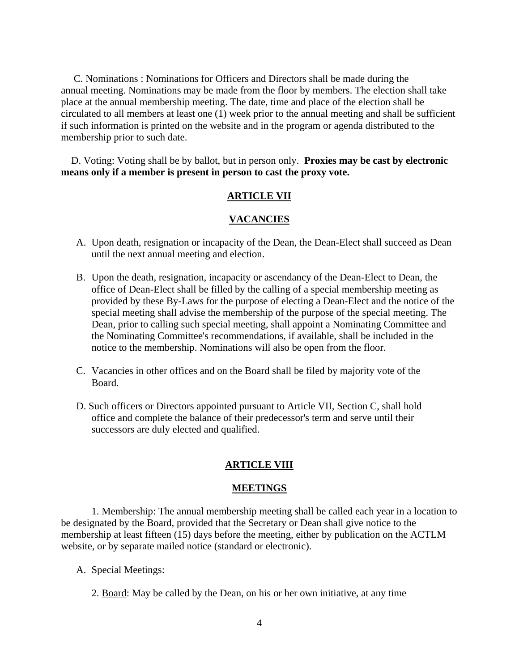C. Nominations : Nominations for Officers and Directors shall be made during the annual meeting. Nominations may be made from the floor by members. The election shall take place at the annual membership meeting. The date, time and place of the election shall be circulated to all members at least one (1) week prior to the annual meeting and shall be sufficient if such information is printed on the website and in the program or agenda distributed to the membership prior to such date.

 D. Voting: Voting shall be by ballot, but in person only. **Proxies may be cast by electronic means only if a member is present in person to cast the proxy vote.**

### **ARTICLE VII**

### **VACANCIES**

- A. Upon death, resignation or incapacity of the Dean, the Dean-Elect shall succeed as Dean until the next annual meeting and election.
- B. Upon the death, resignation, incapacity or ascendancy of the Dean-Elect to Dean, the office of Dean-Elect shall be filled by the calling of a special membership meeting as provided by these By-Laws for the purpose of electing a Dean-Elect and the notice of the special meeting shall advise the membership of the purpose of the special meeting. The Dean, prior to calling such special meeting, shall appoint a Nominating Committee and the Nominating Committee's recommendations, if available, shall be included in the notice to the membership. Nominations will also be open from the floor.
- C. Vacancies in other offices and on the Board shall be filed by majority vote of the Board.
- D. Such officers or Directors appointed pursuant to Article VII, Section C, shall hold office and complete the balance of their predecessor's term and serve until their successors are duly elected and qualified.

#### **ARTICLE VIII**

#### **MEETINGS**

1. Membership: The annual membership meeting shall be called each year in a location to be designated by the Board, provided that the Secretary or Dean shall give notice to the membership at least fifteen (15) days before the meeting, either by publication on the ACTLM website, or by separate mailed notice (standard or electronic).

- A. Special Meetings:
	- 2. Board: May be called by the Dean, on his or her own initiative, at any time